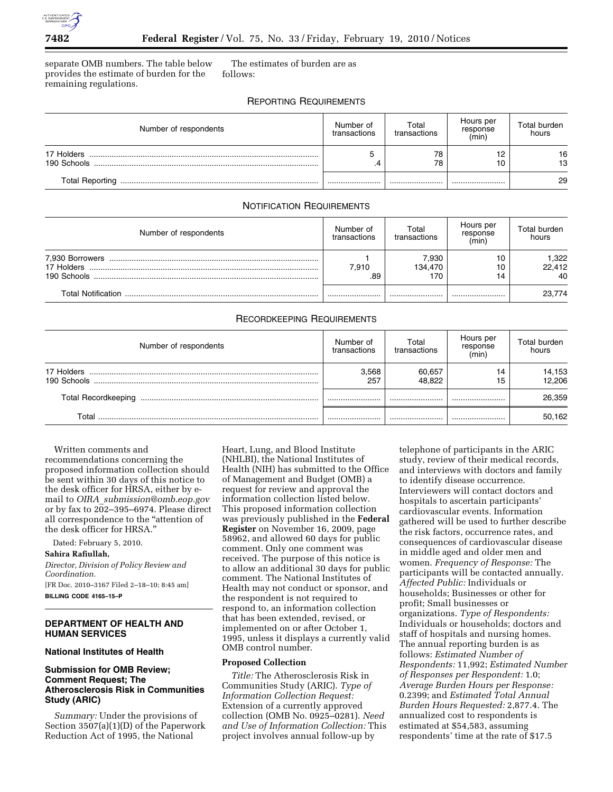

separate OMB numbers. The table below provides the estimate of burden for the remaining regulations.

The estimates of burden are as follows:

# REPORTING REQUIREMENTS

| Number of respondents     | Number of<br>transactions | Total<br>transactions | Hours per<br>response<br>(min) | Total burden<br>hours |
|---------------------------|---------------------------|-----------------------|--------------------------------|-----------------------|
| 17 Holders<br>190 Schools | с                         | 78<br>78              |                                | 16<br>13              |
| <b>Total Reporting</b>    |                           |                       |                                | 29                    |

## NOTIFICATION REQUIREMENTS

| Number of respondents                        | Number of<br>transactions | Total<br>transactions   | Hours per<br>response<br>(min) | Total burden<br>hours |
|----------------------------------------------|---------------------------|-------------------------|--------------------------------|-----------------------|
| 7,930 Borrowers<br>17 Holders<br>190 Schools | 7.910<br>.89              | 7.930<br>134.470<br>170 | ۱0<br>10                       | 1,322<br>22,412<br>40 |
| Total Notification                           |                           |                         |                                | 23,774                |

# RECORDKEEPING REQUIREMENTS

| Number of respondents     | Number of<br>transactions | Total<br>transactions | Hours per<br>response<br>(min) | Total burden<br>hours |
|---------------------------|---------------------------|-----------------------|--------------------------------|-----------------------|
| 17 Holders<br>190 Schools | 3.568<br>257              | 60.657<br>48.822      | 14<br>15                       | 14,153<br>12.206      |
|                           |                           |                       |                                | 26.359                |
| Total                     |                           |                       |                                | 50,162                |

Written comments and recommendations concerning the proposed information collection should be sent within 30 days of this notice to the desk officer for HRSA, either by email to *OIRA*\_*submission@omb.eop.gov*  or by fax to 202–395–6974. Please direct all correspondence to the ''attention of the desk officer for HRSA.''

Dated: February 5, 2010.

### **Sahira Rafiullah,**

*Director, Division of Policy Review and Coordination.* 

[FR Doc. 2010–3167 Filed 2–18–10; 8:45 am] **BILLING CODE 4165–15–P** 

### **DEPARTMENT OF HEALTH AND HUMAN SERVICES**

#### **National Institutes of Health**

### **Submission for OMB Review; Comment Request; The Atherosclerosis Risk in Communities Study (ARIC)**

*Summary:* Under the provisions of Section 3507(a)(1)(D) of the Paperwork Reduction Act of 1995, the National

Heart, Lung, and Blood Institute (NHLBI), the National Institutes of Health (NIH) has submitted to the Office of Management and Budget (OMB) a request for review and approval the information collection listed below. This proposed information collection was previously published in the **Federal Register** on November 16, 2009, page 58962, and allowed 60 days for public comment. Only one comment was received. The purpose of this notice is to allow an additional 30 days for public comment. The National Institutes of Health may not conduct or sponsor, and the respondent is not required to respond to, an information collection that has been extended, revised, or implemented on or after October 1, 1995, unless it displays a currently valid OMB control number.

### **Proposed Collection**

*Title:* The Atherosclerosis Risk in Communities Study (ARIC). *Type of Information Collection Request:*  Extension of a currently approved collection (OMB No. 0925–0281). *Need and Use of Information Collection:* This project involves annual follow-up by

telephone of participants in the ARIC study, review of their medical records, and interviews with doctors and family to identify disease occurrence. Interviewers will contact doctors and hospitals to ascertain participants' cardiovascular events. Information gathered will be used to further describe the risk factors, occurrence rates, and consequences of cardiovascular disease in middle aged and older men and women. *Frequency of Response:* The participants will be contacted annually. *Affected Public:* Individuals or households; Businesses or other for profit; Small businesses or organizations. *Type of Respondents:*  Individuals or households; doctors and staff of hospitals and nursing homes. The annual reporting burden is as follows: *Estimated Number of Respondents:* 11,992; *Estimated Number of Responses per Respondent:* 1.0; *Average Burden Hours per Response:*  0.2399; and *Estimated Total Annual Burden Hours Requested:* 2,877.4. The annualized cost to respondents is estimated at \$54,583, assuming respondents' time at the rate of \$17.5